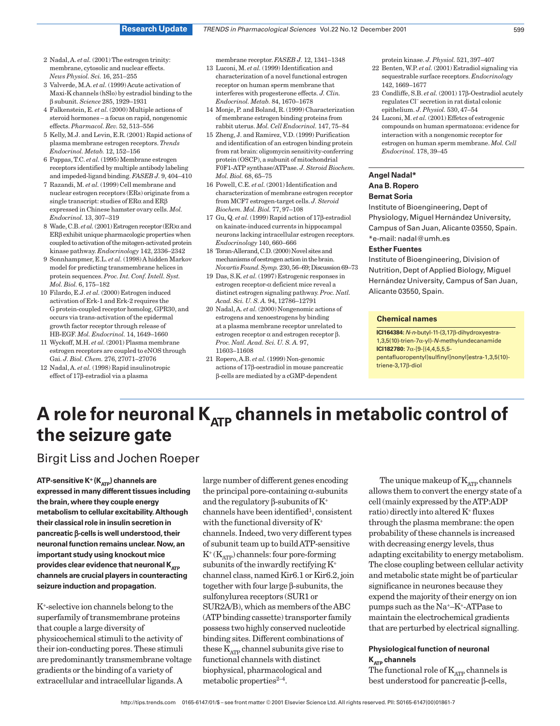- 2 Nadal,A. *et al.* (2001) The estrogen trinity: membrane, cytosolic and nuclear effects. *News Physiol. Sci.* 16, 251–255
- 3 Valverde, M.A. *et al.* (1999)Acute activation of Maxi-K channels (hSlo) by estradiol binding to the β subunit. *Science* 285, 1929–1931
- 4 Falkenstein, E. *et al.* (2000) Multiple actions of steroid hormones – a focus on rapid, nongenomic effects. *Pharmacol. Rev.* 52, 513–556
- 5 Kelly, M.J. and Levin, E.R. (2001) Rapid actions of plasma membrane estrogen receptors. *Trends Endocrinol. Metab.* 12, 152–156
- 6 Pappas, T.C. *et al.* (1995) Membrane estrogen receptors identified by multiple antibody labeling and impeded-ligand binding. *FASEB J.* 9, 404–410
- 7 Razandi, M. *et al.* (1999) Cell membrane and nuclear estrogen receptors (ERs) originate from a single transcript: studies of ERα and ERβ expressed in Chinese hamster ovary cells. *Mol. Endocrinol.* 13, 307–319
- 8 Wade, C.B. *et al.* (2001) Estrogen receptor (ER)α and ERβ exhibit unique pharmacologic properties when coupled to activation of the mitogen-activated protein kinase pathway. *Endocrinology* 142, 2336–2342
- 9 Sonnhampmer, E.L. *et al.* (1998)A hidden Markov model for predicting transmembrane helices in protein sequences. *Proc. Int. Conf. Intell. Syst. Mol. Biol.* 6, 175–182
- 10 Filardo, E.J. *et al.* (2000) Estrogen induced activation of Erk-1 and Erk-2 requires the G protein-coupled receptor homolog, GPR30, and occurs via trans-activation of the epidermal growth factor receptor through release of HB-EGF. *Mol. Endocrinol.* 14, 1649–1660
- 11 Wyckoff, M.H. *et al.* (2001) Plasma membrane estrogen receptors are coupled to eNOS through Gai. *J. Biol. Chem.* 276, 27071–27076
- 12 Nadal,A. *et al.* (1998) Rapid insulinotropic effect of 17β-estradiol via a plasma

membrane receptor. *FASEB J.* 12, 1341–1348

- 13 Luconi, M. *et al.* (1999) Identification and characterization of a novel functional estrogen receptor on human sperm membrane that interferes with progesterone effects. *J. Clin. Endocrinol. Metab.* 84, 1670–1678
- 14 Monje, P. and Boland, R. (1999) Characterization of membrane estrogen binding proteins from rabbit uterus. *Mol. Cell Endocrinol.* 147, 75–84
- 15 Zheng, J. and Ramirez, V.D. (1999) Purification and identification of an estrogen binding protein from rat brain: oligomycin sensitivity-conferring protein (OSCP), a subunit of mitochondrial F0F1-ATP synthase/ATPase. *J. Steroid Biochem. Mol. Biol.* 68, 65–75
- 16 Powell, C.E. *et al.* (2001) Identification and characterization of membrane estrogen receptor from MCF7 estrogen-target cells. *J. Steroid Biochem. Mol. Biol.* 77, 97–108
- 17 Gu, Q. *et al.* (1999) Rapid action of 17β-estradiol on kainate-induced currents in hippocampal neurons lacking intracellular estrogen receptors. *Endocrinology* 140, 660–666
- 18 Toran-Allerand, C.D. (2000) Novel sites and mechanisms of oestrogen action in the brain. *NovartisFound.Symp.*230,56–69;Discussion69–73
- 19 Das, S.K. *et al.* (1997) Estrogenic responses in estrogen receptor-α deficient mice reveal a distinct estrogen signaling pathway. *Proc. Natl. Acad. Sci. U. S. A.* 94, 12786–12791
- 20 Nadal,A. *et al.* (2000) Nongenomic actions of estrogens and xenoestrogens by binding at a plasma membrane receptor unrelated to estrogen receptor  $\alpha$  and estrogen receptor  $\beta$ . *Proc. Natl. Acad. Sci. U. S. A.* 97, 11603–11608
- 21 Ropero,A.B. *et al.* (1999) Non-genomic actions of 17β-oestradiol in mouse pancreatic β-cells are mediated by a cGMP-dependent

protein kinase. *J. Physiol.* 521, 397–407

- 22 Benten, W.P. *et al.* (2001) Estradiol signaling via sequestrable surface receptors. *Endocrinology* 142, 1669–1677
- 23 Condliffe, S.B. *et al.* (2001) 17β-Oestradiol acutely regulates Cl– secretion in rat distal colonic epithelium. *J. Physiol.* 530, 47–54
- 24 Luconi, M. *et al.* (2001) Effetcs of estrogenic compounds on human spermatozoa: evidence for interaction with a nongenomic receptor for estrogen on human sperm membrane. *Mol. Cell Endocrinol.* 178, 39–45

## **Angel Nadal\***

### **Ana B. Ropero**

### **Bernat Soria**

Institute of Bioengineering, Dept of Physiology, Miguel Hernández University, Campus of San Juan, Alicante 03550, Spain.

#### \*e-mail: nadal@umh.es **Esther Fuentes**

Institute of Bioengineering, Division of Nutrition, Dept of Applied Biology, Miguel Hernández University, Campus of San Juan, Alicante 03550, Spain.

#### **Chemical names**

**ICI164384:** N-n-butyl-11-(3,17β-dihydroxyestra-1,3,5(10)-trien-7α-yl)-N-methylundecanamide **ICI182780:** 7α-[9-[(4,4,5,5,5 pentafluoropentyl)sulfinyl]nonyl]estra-1,3,5(10) triene-3,17β-diol

# A role for neuronal K<sub>ATP</sub> channels in metabolic control of **the seizure gate**

# Birgit Liss and Jochen Roeper

ATP-sensitive K<sup>+</sup> (K<sub>ATP</sub>) channels are **expressed in many different tissues including the brain,where they couple energy metabolism to cellular excitability.Although their classical role in insulin secretion in pancreatic** β**-cells is well understood,their neuronal function remains unclear.Now,an important study using knockout mice** provides clear evidence that neuronal K<sub>ATP</sub> **channels are crucial players in counteracting seizure induction and propagation.**

K<sup>+</sup>-selective ion channels belong to the superfamily of transmembrane proteins that couple a large diversity of physicochemical stimuli to the activity of their ion-conducting pores. These stimuli are predominantly transmembrane voltage gradients or the binding of a variety of extracellular and intracellular ligands.A

large number of different genes encoding the principal pore-containing  $\alpha$ -subunits and the regulatory  $\beta$ -subunits of  $K^+$ channels have been identified<sup>1</sup>, consistent with the functional diversity of K<sup>+</sup> channels. Indeed, two very different types of subunit team up to buildATP-sensitive  $K^+(K_{ATP})$  channels: four pore-forming subunits of the inwardly rectifying K<sup>+</sup> channel class, named Kir6.1 or Kir6.2, join together with four large β-subunits, the sulfonylurea receptors (SUR1 or SUR2A/B), which as members of theABC (ATP binding cassette) transporter family possess two highly conserved nucleotide binding sites. Different combinations of these  $K_{ATP}$  channel subunits give rise to functional channels with distinct biophysical, pharmacological and metabolic properties<sup>2-4</sup>.

The unique makeup of  $K_{ATP}$  channels allows them to convert the energy state of a cell (mainly expressed by theATP:ADP ratio) directly into altered K<sup>+</sup> fluxes through the plasma membrane: the open probability of these channels is increased with decreasing energy levels, thus adapting excitability to energy metabolism. The close coupling between cellular activity and metabolic state might be of particular significance in neurones because they expend the majority of their energy on ion pumps such as the Na<sup>+</sup>–K<sup>+</sup>-ATPase to maintain the electrochemical gradients that are perturbed by electrical signalling.

## **Physiological function of neuronal K<sub>ATP</sub>** channels

The functional role of  $K_{ATP}$  channels is best understood for pancreatic β-cells,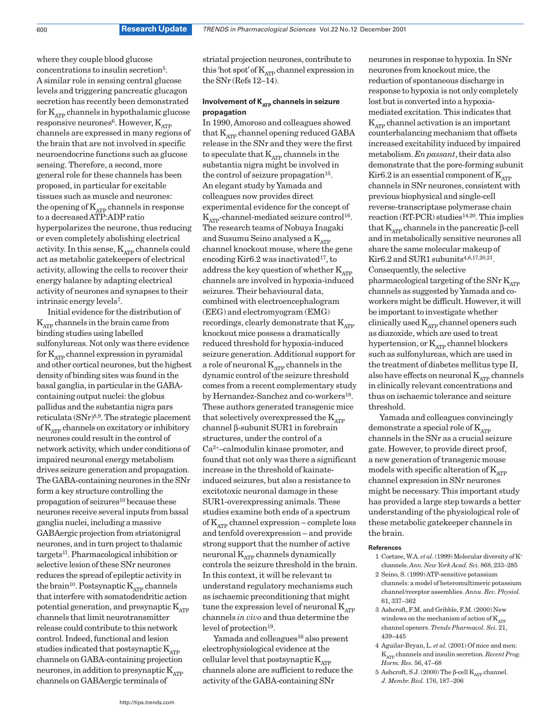where they couple blood glucose concentrations to insulin secretion5. A similar role in sensing central glucose levels and triggering pancreatic glucagon secretion has recently been demonstrated for  $K_{ATP}$  channels in hypothalamic glucose responsive neurones<sup>6</sup>. However,  $K_{ATP}$ channels are expressed in many regions of the brain that are not involved in specific neuroendocrine functions such as glucose sensing. Therefore, a second, more general role for these channels has been proposed, in particular for excitable tissues such as muscle and neurones: the opening of  $\mathbf{K}_{\mathrm{ATP}}$  channels in response to a decreasedATP:ADP ratio hyperpolarizes the neurone, thus reducing or even completely abolishing electrical activity. In this sense,  $K_{ATP}$  channels could act as metabolic gatekeepers of electrical activity, allowing the cells to recover their energy balance by adapting electrical activity of neurones and synapses to their intrinsic energy levels7.

Initial evidence for the distribution of  $K_{\text{app}}$  channels in the brain came from binding studies using labelled sulfonylureas. Not only was there evidence for  $K_{\text{app}}$  channel expression in pyramidal and other cortical neurones, but the highest density of binding sites was found in the basal ganglia, in particular in the GABAcontaining output nuclei: the globus pallidus and the substantia nigra pars reticulata (SNr)8,9. The strategic placement of  $K_{ATP}$  channels on excitatory or inhibitory neurones could result in the control of network activity, which under conditions of impaired neuronal energy metabolism drives seizure generation and propagation. The GABA-containing neurones in the SNr form a key structure controlling the  $propagation of$  seizures $^{10}$  because these neurones receive several inputs from basal ganglia nuclei, including a massive GABAergic projection from striatonigral neurones, and in turn project to thalamic targets11. Pharmacological inhibition or selective lesion of these SNr neurones reduces the spread of epileptic activity in the brain<sup>10</sup>. Postsynaptic  $K_{ATP}$  channels that interfere with somatodendritic action potential generation, and presynaptic  $K_{ATP}$ channels that limit neurotransmitter release could contribute to this network control. Indeed, functional and lesion studies indicated that postsynaptic  $K_{ATP}$ channels on GABA-containing projection neurones, in addition to presynaptic  $K_{ATP}$ channels on GABAergic terminals of

striatal projection neurones, contribute to this 'hot spot' of  $K_{ATP}$  channel expression in the SNr (Refs 12–14).

## **Involvement of K<sub>ATP</sub> channels in seizure propagation**

In 1990,Amoroso and colleagues showed that  $K_{ATP}$  channel opening reduced GABA release in the SNr and they were the first to speculate that  $K_{ATP}$  channels in the substantia nigra might be involved in the control of seizure propagation<sup>15</sup>. An elegant study by Yamada and colleagues now provides direct experimental evidence for the concept of  $K_{ATP}$ -channel-mediated seizure control<sup>16</sup>. The research teams of Nobuya Inagaki and Susumu Seino analysed a  $K_{ATP}$ channel knockout mouse, where the gene encoding Kir6.2 was inactivated<sup>17</sup>, to address the key question of whether  $K_{ATP}$ channels are involved in hypoxia-induced seizures. Their behavioural data, combined with electroencephalogram (EEG) and electromyogram (EMG) recordings, clearly demonstrate that  $K_{\text{app}}$ knockout mice possess a dramatically reduced threshold for hypoxia-induced seizure generation.Additional support for a role of neuronal  $K_{ATP}$  channels in the dynamic control of the seizure threshold comes from a recent complementary study by Hernandez-Sanchez and co-workers<sup>18</sup>. These authors generated transgenic mice that selectively overexpressed the  $K_{\text{app}}$ channel β-subunit SUR1 in forebrain structures, under the control of a Ca2<sup>+</sup>–calmodulin kinase promoter, and found that not only was there a significant increase in the threshold of kainateinduced seizures, but also a resistance to excitotoxic neuronal damage in these SUR1-overexpressing animals. These studies examine both ends of a spectrum of KATP channel expression – complete loss and tenfold overexpression – and provide strong support that the number of active neuronal  $K_{ATP}$  channels dynamically controls the seizure threshold in the brain. In this context, it will be relevant to understand regulatory mechanisms such as ischaemic preconditioning that might tune the expression level of neuronal  $K_{ATP}$ channels *in vivo* and thus determine the level of protection<sup>19</sup>.

Yamada and colleagues<sup>16</sup> also present electrophysiological evidence at the cellular level that postsynaptic  $K_{ATP}$ channels alone are sufficient to reduce the activity of the GABA-containing SNr

neurones in response to hypoxia. In SNr neurones from knockout mice, the reduction of spontaneous discharge in response to hypoxia is not only completely lost but is converted into a hypoxiamediated excitation. This indicates that  $K_{ATP}$  channel activation is an important counterbalancing mechanism that offsets increased excitability induced by impaired metabolism. *En passant*, their data also demonstrate that the pore-forming subunit Kir6.2 is an essential component of  $K_{\text{app}}$ channels in SNr neurones, consistent with previous biophysical and single-cell reverse-transcriptase polymerase chain  $reaction (RT-PCR) studies<sup>14,20</sup>. This implies$ that  $K_{ATP}$  channels in the pancreatic β-cell and in metabolically sensitive neurones all share the same molecular makeup of  $Kir6.2$  and SUR1 subunits<sup>4,6,17,20,21</sup>. Consequently, the selective pharmacological targeting of the SNr  $K_{ATP}$ channels as suggested byYamada and coworkers might be difficult. However, it will be important to investigate whether clinically used  $K_{\text{app}}$  channel openers such as diazoxide, which are used to treat hypertension, or  $K_{\text{ATP}}$  channel blockers such as sulfonylureas, which are used in the treatment of diabetes mellitus type II, also have effects on neuronal  $K_{ATP}$  channels in clinically relevant concentrations and thus on ischaemic tolerance and seizure threshold.

Yamada and colleagues convincingly demonstrate a special role of  $K_{ATP}$ channels in the SNr as a crucial seizure gate. However, to provide direct proof, a new generation of transgenic mouse models with specific alteration of  $K_{\text{ATP}}$ channel expression in SNr neurones might be necessary. This important study has provided a large step towards a better understanding of the physiological role of these metabolic gatekeeper channels in the brain.

#### **References**

- 1 Coetzee, W.A. *et al.*(1999) Molecular diversity of K<sup>+</sup> channels. *Ann. New York Acad. Sci.* 868, 233–285
- 2 Seino, S. (1999)ATP-sensitive potassium channels: a model of heteromultimeric potassium channel/receptor assemblies. *Annu. Rev. Physiol.* 61, 337–362
- 3 Ashcroft, F.M. and Gribble, F.M. (2000) New windows on the mechanism of action of  $K_{ATP}$ channel openers. *Trends Pharmacol. Sci.* 21, 439–445
- 4 Aguilar-Bryan, L. *et al.* (2001) Of mice and men: KATP channels and insulin secretion. *Recent Prog. Horm. Res.* 56, 47–68
- 5 Ashcroft, S.J. (2000) The β-cell  $K_{ATP}$  channel. *J. Membr. Biol.* 176, 187–206